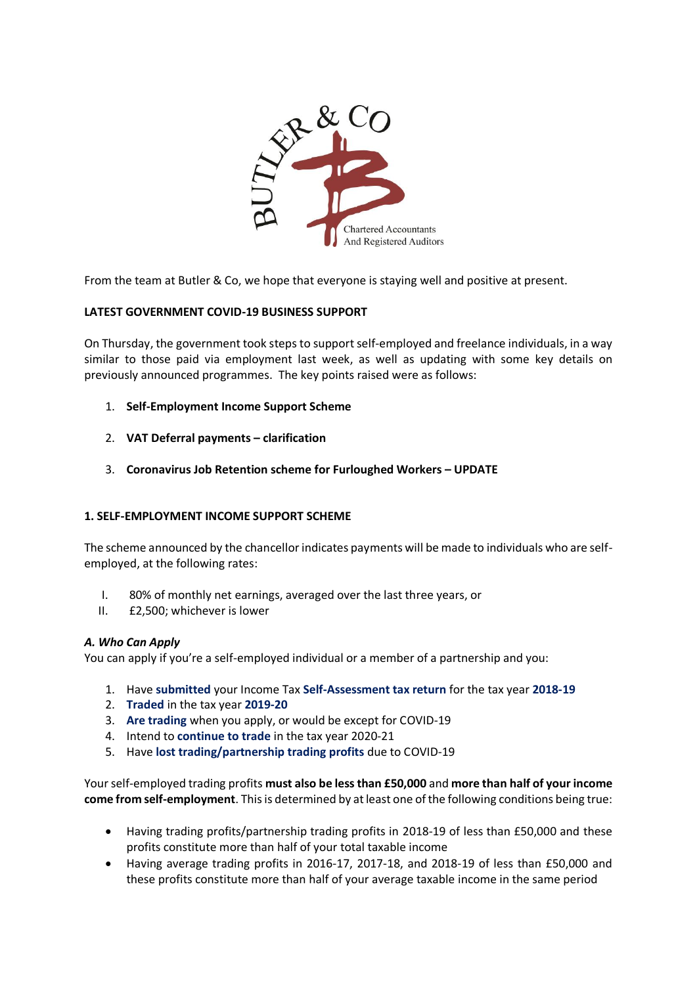

From the team at Butler & Co, we hope that everyone is staying well and positive at present.

# **LATEST GOVERNMENT COVID-19 BUSINESS SUPPORT**

On Thursday, the government took steps to support self-employed and freelance individuals, in a way similar to those paid via employment last week, as well as updating with some key details on previously announced programmes. The key points raised were as follows:

- 1. **Self-Employment Income Support Scheme**
- 2. **VAT Deferral payments – clarification**
- 3. **Coronavirus Job Retention scheme for Furloughed Workers – UPDATE**

### **1. SELF-EMPLOYMENT INCOME SUPPORT SCHEME**

The scheme announced by the chancellor indicates payments will be made to individuals who are selfemployed, at the following rates:

- I. 80% of monthly net earnings, averaged over the last three years, or
- II. £2,500; whichever is lower

### *A. Who Can Apply*

You can apply if you're a self-employed individual or a member of a partnership and you:

- 1. Have **submitted** your Income Tax **Self-Assessment tax return** for the tax year **2018-19**
- 2. **Traded** in the tax year **2019-20**
- 3. **Are trading** when you apply, or would be except for COVID-19
- 4. Intend to **continue to trade** in the tax year 2020-21
- 5. Have **lost trading/partnership trading profits** due to COVID-19

Your self-employed trading profits **must also be less than £50,000** and **more than half of your income come from self-employment**. This is determined by at least one of the following conditions being true:

- Having trading profits/partnership trading profits in 2018-19 of less than £50,000 and these profits constitute more than half of your total taxable income
- Having average trading profits in 2016-17, 2017-18, and 2018-19 of less than £50,000 and these profits constitute more than half of your average taxable income in the same period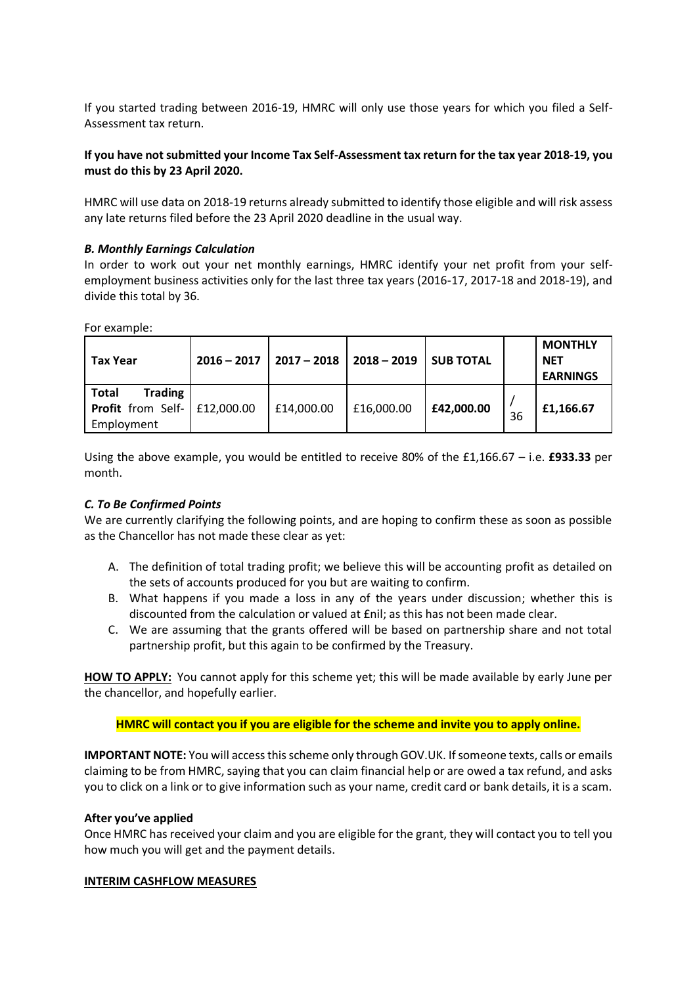If you started trading between 2016-19, HMRC will only use those years for which you filed a Self-Assessment tax return.

# **If you have not submitted your Income Tax Self-Assessment tax return for the tax year 2018-19, you must do this by 23 April 2020.**

HMRC will use data on 2018-19 returns already submitted to identify those eligible and will risk assess any late returns filed before the 23 April 2020 deadline in the usual way.

### *B. Monthly Earnings Calculation*

In order to work out your net monthly earnings, HMRC identify your net profit from your selfemployment business activities only for the last three tax years (2016-17, 2017-18 and 2018-19), and divide this total by 36.

For example:

| <b>Tax Year</b>                                                                               | $2016 - 2017$ | $2017 - 2018$ | $2018 - 2019$ | <b>SUB TOTAL</b> |    | <b>MONTHLY</b><br><b>NET</b><br><b>EARNINGS</b> |
|-----------------------------------------------------------------------------------------------|---------------|---------------|---------------|------------------|----|-------------------------------------------------|
| <b>Trading</b><br>Total<br><b>Profit</b> from Self- $\left  \right.$ £12,000.00<br>Employment |               | £14,000.00    | £16,000.00    | £42,000.00       | 36 | £1,166.67                                       |

Using the above example, you would be entitled to receive 80% of the £1,166.67 – i.e. **£933.33** per month.

### *C. To Be Confirmed Points*

We are currently clarifying the following points, and are hoping to confirm these as soon as possible as the Chancellor has not made these clear as yet:

- A. The definition of total trading profit; we believe this will be accounting profit as detailed on the sets of accounts produced for you but are waiting to confirm.
- B. What happens if you made a loss in any of the years under discussion; whether this is discounted from the calculation or valued at £nil; as this has not been made clear.
- C. We are assuming that the grants offered will be based on partnership share and not total partnership profit, but this again to be confirmed by the Treasury.

**HOW TO APPLY:** You cannot apply for this scheme yet; this will be made available by early June per the chancellor, and hopefully earlier.

**HMRC will contact you if you are eligible for the scheme and invite you to apply online.**

**IMPORTANT NOTE:** You will access this scheme only through GOV.UK. If someone texts, calls or emails claiming to be from HMRC, saying that you can claim financial help or are owed a tax refund, and asks you to click on a link or to give information such as your name, credit card or bank details, it is a scam.

### **After you've applied**

Once HMRC has received your claim and you are eligible for the grant, they will contact you to tell you how much you will get and the payment details.

### **INTERIM CASHFLOW MEASURES**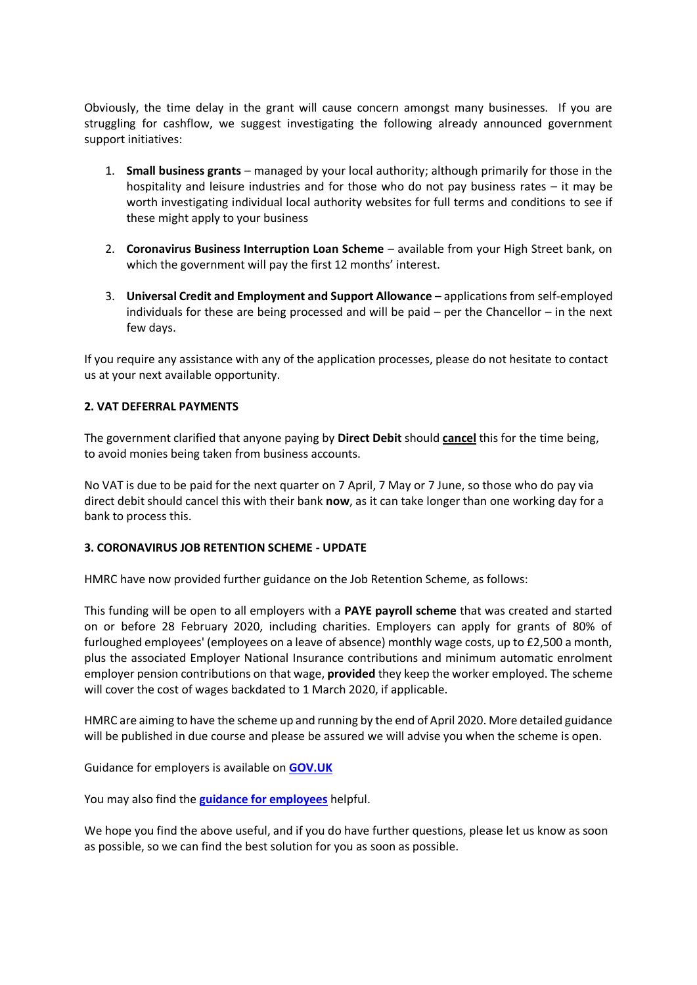Obviously, the time delay in the grant will cause concern amongst many businesses. If you are struggling for cashflow, we suggest investigating the following already announced government support initiatives:

- 1. **Small business grants** managed by your local authority; although primarily for those in the hospitality and leisure industries and for those who do not pay business rates – it may be worth investigating individual local authority websites for full terms and conditions to see if these might apply to your business
- 2. **Coronavirus Business Interruption Loan Scheme** available from your High Street bank, on which the government will pay the first 12 months' interest.
- 3. **Universal Credit and Employment and Support Allowance** applications from self-employed individuals for these are being processed and will be paid – per the Chancellor – in the next few days.

If you require any assistance with any of the application processes, please do not hesitate to contact us at your next available opportunity.

### **2. VAT DEFERRAL PAYMENTS**

The government clarified that anyone paying by **Direct Debit** should **cancel** this for the time being, to avoid monies being taken from business accounts.

No VAT is due to be paid for the next quarter on 7 April, 7 May or 7 June, so those who do pay via direct debit should cancel this with their bank **now**, as it can take longer than one working day for a bank to process this.

### **3. CORONAVIRUS JOB RETENTION SCHEME - UPDATE**

HMRC have now provided further guidance on the Job Retention Scheme, as follows:

This funding will be open to all employers with a **PAYE payroll scheme** that was created and started on or before 28 February 2020, including charities. Employers can apply for grants of 80% of furloughed employees' (employees on a leave of absence) monthly wage costs, up to £2,500 a month, plus the associated Employer National Insurance contributions and minimum automatic enrolment employer pension contributions on that wage, **provided** they keep the worker employed. The scheme will cover the cost of wages backdated to 1 March 2020, if applicable.

HMRC are aiming to have the scheme up and running by the end of April 2020. More detailed guidance will be published in due course and please be assured we will advise you when the scheme is open.

Guidance for employers is available on **[GOV.UK](https://links.advice.hmrc.gov.uk/l/eyJhbGciOiJIUzI1NiJ9.eyJidWxsZXRpbl9saW5rX2lkIjoxMDEsInVyaSI6ImJwMjpjbGljayIsImJ1bGxldGluX2lkIjoiMjAyMDAzMjcuMTkzNzcxNTEiLCJ1cmwiOiJodHRwczovL3d3dy5nb3YudWsvZ3VpZGFuY2UvY2xhaW0tZm9yLXdhZ2UtY29zdHMtdGhyb3VnaC10aGUtY29yb25hdmlydXMtam9iLXJldGVudGlvbi1zY2hlbWUifQ.1AnpB4K7YgClu801XTzNe_r4DSBRjRY4YzXV7KWJWYk/br/76694133238-l)**

You may also find the **[guidance for employees](https://links.advice.hmrc.gov.uk/l/eyJhbGciOiJIUzI1NiJ9.eyJidWxsZXRpbl9saW5rX2lkIjoxMDIsInVyaSI6ImJwMjpjbGljayIsImJ1bGxldGluX2lkIjoiMjAyMDAzMjcuMTkzNzcxNTEiLCJ1cmwiOiJodHRwczovL3d3dy5nb3YudWsvZ3VpZGFuY2UvY2hlY2staWYteW91LWNvdWxkLWJlLWNvdmVyZWQtYnktdGhlLWNvcm9uYXZpcnVzLWpvYi1yZXRlbnRpb24tc2NoZW1lIn0.Sh2tErwpdkdgV3Aq0S85vR5KXQcl-UXVeDyn8zR5H40/br/76694133238-l)** helpful.

We hope you find the above useful, and if you do have further questions, please let us know as soon as possible, so we can find the best solution for you as soon as possible.